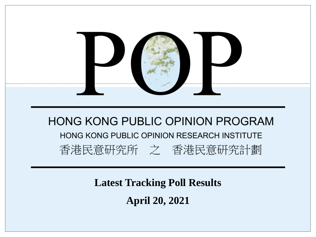

**Latest Tracking Poll Results April 20, 2021**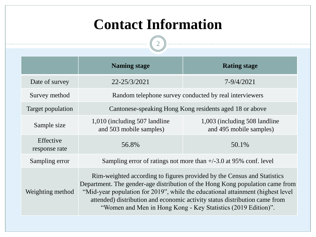## **Contact Information**

 $\boxed{2}$ 

------

|                            | <b>Naming stage</b>                                                                                                                                                                                                                                                                                                                                                                        | <b>Rating stage</b>                                      |  |  |
|----------------------------|--------------------------------------------------------------------------------------------------------------------------------------------------------------------------------------------------------------------------------------------------------------------------------------------------------------------------------------------------------------------------------------------|----------------------------------------------------------|--|--|
| Date of survey             | 22-25/3/2021                                                                                                                                                                                                                                                                                                                                                                               | 7-9/4/2021                                               |  |  |
| Survey method              | Random telephone survey conducted by real interviewers                                                                                                                                                                                                                                                                                                                                     |                                                          |  |  |
| Target population          | Cantonese-speaking Hong Kong residents aged 18 or above                                                                                                                                                                                                                                                                                                                                    |                                                          |  |  |
| Sample size                | 1,010 (including 507 landline)<br>and 503 mobile samples)                                                                                                                                                                                                                                                                                                                                  | 1,003 (including 508 landline<br>and 495 mobile samples) |  |  |
| Effective<br>response rate | 56.8%                                                                                                                                                                                                                                                                                                                                                                                      | 50.1%                                                    |  |  |
| Sampling error             | Sampling error of ratings not more than $+/-3.0$ at 95% conf. level                                                                                                                                                                                                                                                                                                                        |                                                          |  |  |
| Weighting method           | Rim-weighted according to figures provided by the Census and Statistics<br>Department. The gender-age distribution of the Hong Kong population came from<br>"Mid-year population for 2019", while the educational attainment (highest level<br>attended) distribution and economic activity status distribution came from<br>"Women and Men in Hong Kong - Key Statistics (2019 Edition)". |                                                          |  |  |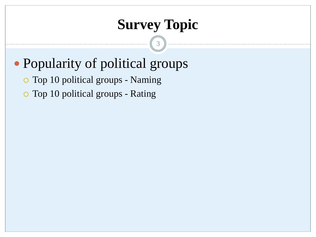## **Survey Topic**

3

# Popularity of political groups

Top 10 political groups - Naming

Top 10 political groups - Rating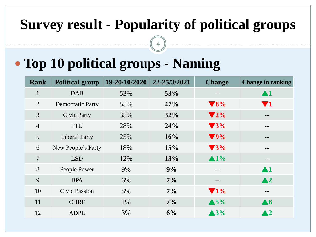# **Survey result - Popularity of political groups**

# **Top 10 political groups - Naming**

| Rank           | <b>Political group</b>  | 19-20/10/2020 | 22-25/3/2021 | <b>Change</b>                | <b>Change in ranking</b>     |
|----------------|-------------------------|---------------|--------------|------------------------------|------------------------------|
| $\mathbf{1}$   | <b>DAB</b>              | 53%           | 53%          | $- -$                        | $\blacktriangle 1$           |
| 2              | <b>Democratic Party</b> | 55%           | 47%          | $\blacktriangledown 8\%$     | $\blacktriangledown_1$       |
| $\mathfrak{Z}$ | <b>Civic Party</b>      | 35%           | 32%          | $\blacktriangledown 2\%$     | $\qquad \qquad \blacksquare$ |
| $\overline{4}$ | <b>FTU</b>              | 28%           | 24%          | $\blacktriangledown$ 3%      | $- -$                        |
| 5              | <b>Liberal Party</b>    | 25%           | 16%          | $\blacktriangledown$ 9%      | $- -$                        |
| 6              | New People's Party      | 18%           | 15%          | $\blacktriangledown$ 3%      | $=$ $=$                      |
| $\overline{7}$ | <b>LSD</b>              | 12%           | 13%          | $\blacktriangle 1\%$         | $\qquad \qquad \blacksquare$ |
| 8              | People Power            | 9%            | 9%           | $- -$                        | $\blacktriangle$ 1           |
| 9              | <b>BPA</b>              | 6%            | $7\%$        | $\qquad \qquad \blacksquare$ | $\blacktriangle$ 2           |
| 10             | <b>Civic Passion</b>    | 8%            | 7%           | $\blacktriangledown$ 1%      | --                           |
| 11             | <b>CHRF</b>             | 1%            | $7\%$        | $\triangle$ 5%               | $\blacktriangle 6$           |
| 12             | <b>ADPL</b>             | 3%            | 6%           | $\blacktriangle$ 3%          | $\blacktriangle$ 2           |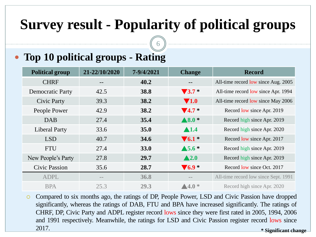# **Survey result - Popularity of political groups**

6

#### **Top 10 political groups - Rating**

| <b>Political group</b>  | 21-22/10/2020     | 7-9/4/2021  | <b>Change</b>                 | <b>Record</b>                        |
|-------------------------|-------------------|-------------|-------------------------------|--------------------------------------|
| <b>CHRF</b>             |                   | 40.2        |                               | All-time record low since Aug. 2005  |
| <b>Democratic Party</b> | 42.5              | 38.8        | $\blacktriangledown 3.7*$     | All-time record low since Apr. 1994  |
| <b>Civic Party</b>      | 39.3              | 38.2        | $\blacktriangledown$ 1.0      | All-time record low since May 2006   |
| People Power            | 42.9              | 38.2        | $\blacktriangledown$ 4.7 $^*$ | Record low since Apr. 2019           |
| <b>DAB</b>              | 27.4              | 35.4        | $\blacktriangle 8.0$ *        | Record high since Apr. 2019          |
| <b>Liberal Party</b>    | 33.6              | 35.0        | $\blacktriangle$ 1.4          | Record high since Apr. 2020          |
| <b>LSD</b>              | 40.7              | 34.6        | $\blacktriangledown_{6.1}$    | Record low since Apr. 2017           |
| <b>FTU</b>              | 27.4              | <b>33.0</b> | $\blacktriangle$ 5.6 $*$      | Record high since Apr. 2019          |
| New People's Party      | 27.8              | 29.7        | $\blacktriangle$ 2.0          | Record high since Apr. 2019          |
| <b>Civic Passion</b>    | 35.6              | 28.7        | $\blacktriangledown_{6.9}$ *  | Record low since Oct. 2017           |
| <b>ADPL</b>             | $\qquad \qquad -$ | 36.8        | $- -$                         | All-time record low since Sept. 1991 |
| <b>BPA</b>              | 25.3              | 29.3        | $\blacktriangle$ 4.0 $^*$     | Record high since Apr. 2020          |

 Compared to six months ago, the ratings of DP, People Power, LSD and Civic Passion have dropped significantly, whereas the ratings of DAB, FTU and BPA have increased significantly. The ratings of CHRF, DP, Civic Party and ADPL register record lows since they were first rated in 2005, 1994, 2006 and 1991 respectively. Meanwhile, the ratings for LSD and Civic Passion register record lows since 2017. **\* Significant change**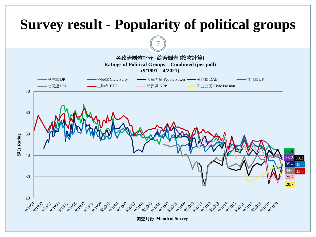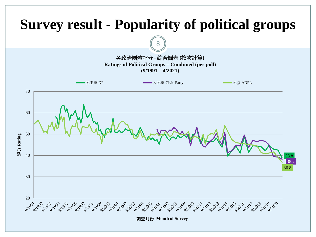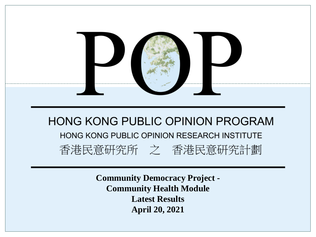

**Community Democracy Project - Community Health Module Latest Results April 20, 2021**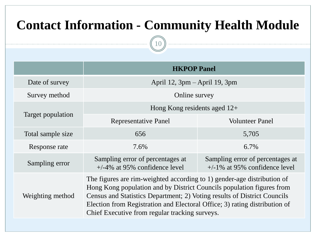## **Contact Information - Community Health Module**

10

|                   | <b>HKPOP Panel</b>                                                                                                                                                                                                                                                                                                                                           |                                                                      |  |  |  |
|-------------------|--------------------------------------------------------------------------------------------------------------------------------------------------------------------------------------------------------------------------------------------------------------------------------------------------------------------------------------------------------------|----------------------------------------------------------------------|--|--|--|
| Date of survey    | April 12, $3pm -$ April 19, $3pm$                                                                                                                                                                                                                                                                                                                            |                                                                      |  |  |  |
| Survey method     | Online survey                                                                                                                                                                                                                                                                                                                                                |                                                                      |  |  |  |
|                   | Hong Kong residents aged $12+$                                                                                                                                                                                                                                                                                                                               |                                                                      |  |  |  |
| Target population | <b>Representative Panel</b>                                                                                                                                                                                                                                                                                                                                  | <b>Volunteer Panel</b>                                               |  |  |  |
| Total sample size | 656                                                                                                                                                                                                                                                                                                                                                          | 5,705                                                                |  |  |  |
| Response rate     | 7.6%                                                                                                                                                                                                                                                                                                                                                         | $6.7\%$                                                              |  |  |  |
| Sampling error    | Sampling error of percentages at<br>$+/-4\%$ at 95% confidence level                                                                                                                                                                                                                                                                                         | Sampling error of percentages at<br>$+/-1\%$ at 95% confidence level |  |  |  |
| Weighting method  | The figures are rim-weighted according to 1) gender-age distribution of<br>Hong Kong population and by District Councils population figures from<br>Census and Statistics Department; 2) Voting results of District Councils<br>Election from Registration and Electoral Office; 3) rating distribution of<br>Chief Executive from regular tracking surveys. |                                                                      |  |  |  |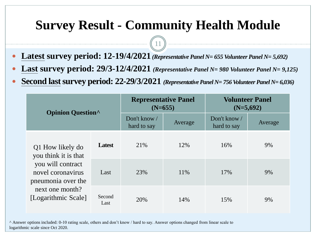### **Survey Result - Community Health Module**

11

- **Latest survey period: 12-19/4/2021** *(Representative Panel N= 655 Volunteer Panel N= 5,692)*
- **Last survey period: 29/3-12/4/2021** *(Representative Panel N= 980 Volunteer Panel N= 9,125)*
- **Second last survey period:**  $22-29/3/2021$  (Representative Panel N= 756 Volunteer Panel N= 6,036)

| <b>Opinion Question</b>                                                                                  |                | <b>Representative Panel</b><br>$(N=655)$ |         | <b>Volunteer Panel</b><br>$(N=5,692)$ |         |  |
|----------------------------------------------------------------------------------------------------------|----------------|------------------------------------------|---------|---------------------------------------|---------|--|
|                                                                                                          |                | Don't know /<br>hard to say              | Average | Don't know /<br>hard to say           | Average |  |
| Q1 How likely do<br>you think it is that<br>you will contract<br>novel coronavirus<br>pneumonia over the | <b>Latest</b>  | 21\%                                     | 12%     | 16%                                   | 9%      |  |
|                                                                                                          | Last           | 23%                                      | 11\%    | 17%                                   | 9%      |  |
| next one month?<br>[Logarithmic Scale]                                                                   | Second<br>Last | 20%                                      | 14%     | 15%                                   | 9%      |  |

^ Answer options included: 0-10 rating scale, others and don't know / hard to say. Answer options changed from linear scale to logarithmic scale since Oct 2020.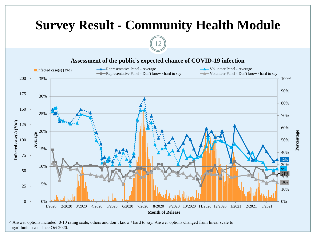

^ Answer options included: 0-10 rating scale, others and don't know / hard to say. Answer options changed from linear scale to logarithmic scale since Oct 2020.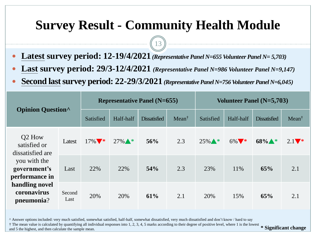### **Survey Result - Community Health Module**

13

- **Latest survey period: 12-19/4/2021** *(Representative Panel N=655Volunteer Panel N= 5,703)*
- **Last survey period: 29/3-12/4/2021** *(Representative Panel N=986 Volunteer Panel N=9,147)*
- **Second last survey period: 22-29/3/2021** (Representative Panel N=756 Volunteer Panel N=6,045)

| <b>Opinion Question</b>                                                                       |                | <b>Representative Panel (N=655)</b> |           |                     | Volunteer Panel $(N=5,703)$ |           |           |                     |                  |
|-----------------------------------------------------------------------------------------------|----------------|-------------------------------------|-----------|---------------------|-----------------------------|-----------|-----------|---------------------|------------------|
|                                                                                               |                | Satisfied                           | Half-half | <b>Dissatisfied</b> | $Mean^{\dagger}$            | Satisfied | Half-half | <b>Dissatisfied</b> | $Mean^{\dagger}$ |
| Q <sub>2</sub> How<br>satisfied or<br>dissatisfied are                                        | Latest         | $17\%$ *                            | $27\%$ *  | 56%                 | 2.3                         | $25\%$ *  | $6\%$ *   | $68\%$ *            | $2.1$ *          |
| you with the<br>government's<br>performance in<br>handling novel<br>coronavirus<br>pneumonia? | Last           | 22%                                 | 22%       | 54%                 | 2.3                         | 23%       | 11%       | 65%                 | 2.1              |
|                                                                                               | Second<br>Last | 20%                                 | 20%       | 61%                 | 2.1                         | 20%       | 15%       | 65%                 | 2.1              |

^ Answer options included: very much satisfied, somewhat satisfied, half-half, somewhat dissatisfied, very much dissatisfied and don't know / hard to say

 $\dagger$  The mean value is calculated by quantifying all individual responses into 1, 2, 3, 4, 5 marks according to their degree of positive level, where 1 is the lowest  $\ast$  Significant change

and 5 the highest, and then calculate the sample mean.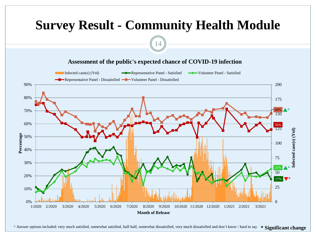

Answer options included: very much satisfied, somewhat satisfied, half-half, somewhat dissatisfied, very much dissatisfied and don't know / hard to say \* Significant change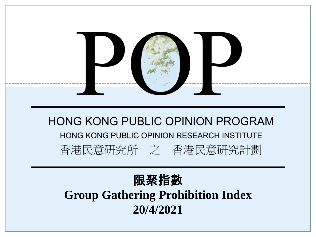

### 限聚指數 **Group Gathering Prohibition Index 20/4/2021**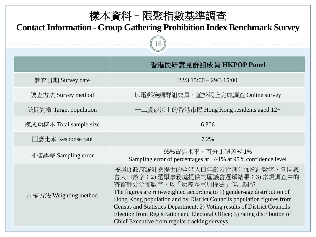| 樣本資料 - 限聚指數基準調査<br><b>Contact Information - Group Gathering Prohibition Index Benchmark Survey</b> |                                                                                                                                                                                                                                                                                                                                                                                                                                                                 |  |  |  |
|----------------------------------------------------------------------------------------------------|-----------------------------------------------------------------------------------------------------------------------------------------------------------------------------------------------------------------------------------------------------------------------------------------------------------------------------------------------------------------------------------------------------------------------------------------------------------------|--|--|--|
|                                                                                                    | 香港民研意見群組成員 HKPOP Panel                                                                                                                                                                                                                                                                                                                                                                                                                                          |  |  |  |
| 調查日期 Survey date                                                                                   | $22/3$ 15:00 - 29/3 15:00                                                                                                                                                                                                                                                                                                                                                                                                                                       |  |  |  |
| 調查方法 Survey method                                                                                 | 以電郵接觸群組成員,並於網上完成調查 Online survey                                                                                                                                                                                                                                                                                                                                                                                                                                |  |  |  |
| 訪問對象 Target population                                                                             | 十二歲或以上的香港市民 Hong Kong residents aged 12+                                                                                                                                                                                                                                                                                                                                                                                                                        |  |  |  |
| 總成功樣本 Total sample size                                                                            | 6,806                                                                                                                                                                                                                                                                                                                                                                                                                                                           |  |  |  |
| 回應比率 Response rate                                                                                 | 7.2%                                                                                                                                                                                                                                                                                                                                                                                                                                                            |  |  |  |
| 抽樣誤差 Sampling error                                                                                | 95%置信水平,百分比誤差+/-1%<br>Sampling error of percentages at $+/-1\%$ at 95% confidence level                                                                                                                                                                                                                                                                                                                                                                         |  |  |  |
| 加權方法 Weighting method                                                                              | 按照1)政府統計處提供的全港人口年齡及性別分佈統計數字、各區議<br>會人口數字;2)選舉事務處提供的區議會選舉結果;3)常規調查中的<br>特首評分分佈數字,以「反覆多重加權法」作出調整。<br>The figures are rim-weighted according to 1) gender-age distribution of<br>Hong Kong population and by District Councils population figures from<br>Census and Statistics Department; 2) Voting results of District Councils<br>Election from Registration and Electoral Office; 3) rating distribution of<br>Chief Executive from regular tracking surveys. |  |  |  |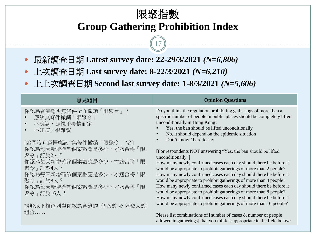#### 限聚指數 **Group Gathering Prohibition Index**

17

- 最新調查日期 **Latest survey date: 22-29/3/2021** *(N=6,806)*
- 上次調查日期 **Last survey date: 8-22/3/2021** *(N=6,210)*
- 上上次調查日期 **Second last survey date: 1-8/3/2021** *(N=5,606)*

| 意見題目                                                                                           | <b>Opinion Questions</b>                                                                                                                                                                                                                                                                                                           |
|------------------------------------------------------------------------------------------------|------------------------------------------------------------------------------------------------------------------------------------------------------------------------------------------------------------------------------------------------------------------------------------------------------------------------------------|
| 你認為香港應否無條件全面撤銷「限聚令」?<br>應該無條件撤銷「限聚令」<br>不應該,應視乎疫情而定<br>٠<br>不知道/很難說<br>[追問沒有選擇應該"無條件撤銷「限聚令」"者] | Do you think the regulation prohibiting gatherings of more than a<br>specific number of people in public places should be completely lifted<br>unconditionally in Hong Kong?<br>Yes, the ban should be lifted unconditionally<br>No, it should depend on the epidemic situation<br>$\blacksquare$<br>Don't know / hard to say<br>п |
| 你認為每天新增確診個案數應是多少,才適合將「限                                                                        | [For respondents NOT answering "Yes, the ban should be lifted                                                                                                                                                                                                                                                                      |
| 聚令 , 訂於2人?                                                                                     | unconditionally"]                                                                                                                                                                                                                                                                                                                  |
| 你認為每天新增確診個案數應是多少,才適合將「限                                                                        | How many newly confirmed cases each day should there be before it                                                                                                                                                                                                                                                                  |
| 聚令 , 訂於4人?                                                                                     | would be appropriate to prohibit gatherings of more than 2 people?                                                                                                                                                                                                                                                                 |
| 你認為每天新增確診個案數應是多少,才適合將「限                                                                        | How many newly confirmed cases each day should there be before it                                                                                                                                                                                                                                                                  |
| 聚令 , 訂於8人?                                                                                     | would be appropriate to prohibit gatherings of more than 4 people?                                                                                                                                                                                                                                                                 |
| 你認為每天新增確診個案數應是多少,才適合將「限                                                                        | How many newly confirmed cases each day should there be before it                                                                                                                                                                                                                                                                  |
| 聚令」訂於16人?                                                                                      | would be appropriate to prohibit gatherings of more than 8 people?                                                                                                                                                                                                                                                                 |
| 請於以下欄位列舉你認為合適的 [個案數 及 限聚人數]                                                                    | How many newly confirmed cases each day should there be before it<br>would be appropriate to prohibit gatherings of more than 16 people?                                                                                                                                                                                           |
| 組合                                                                                             | Please list combinations of [number of cases $\&$ number of people<br>allowed in gatherings] that you think is appropriate in the field below:                                                                                                                                                                                     |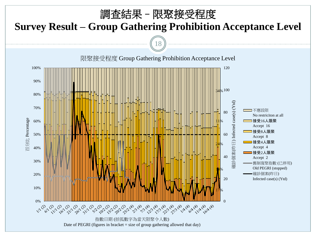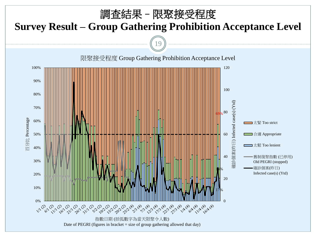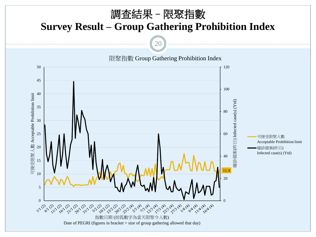